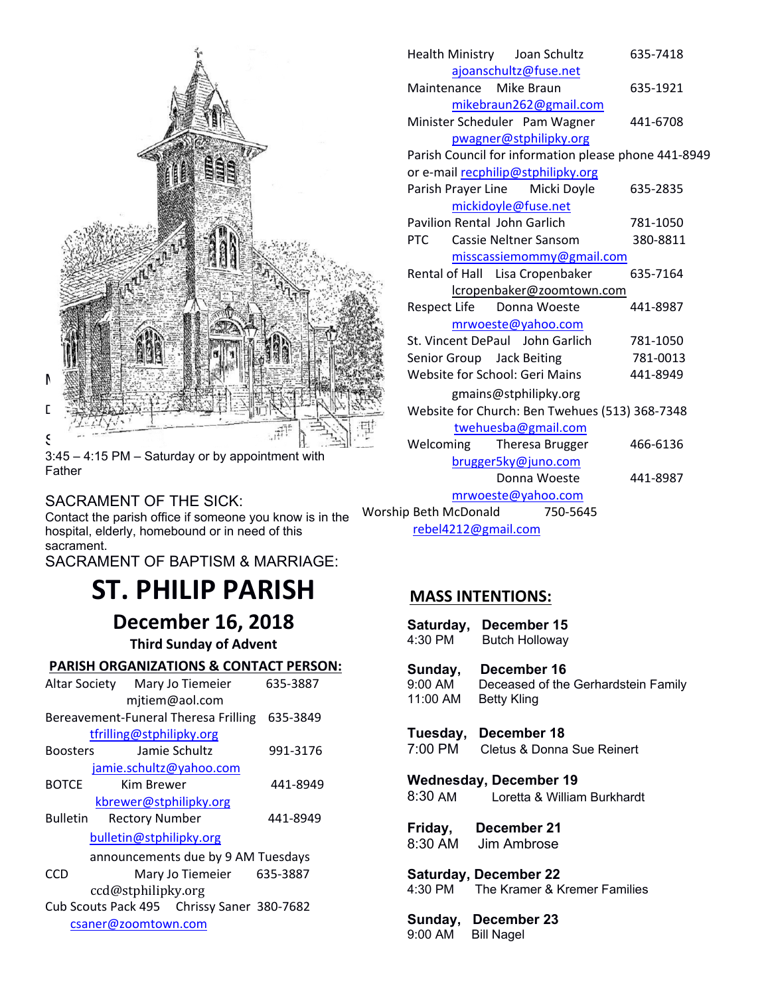

3:45 – 4:15 PM – Saturday or by appointment with Father

### SACRAMENT OF THE SICK:

CONTRESS TO THE STORE. hospital, elderly, homebound or in need of this sacrament.

SACRAMENT OF BAPTISM & MARRIAGE:

# **ST. PHILIP PARISH**

 **December 16, 2018**

**Third Sunday of Advent**

| <b>PARISH ORGANIZATIONS &amp; CONTACT PERSON:</b> |
|---------------------------------------------------|
|---------------------------------------------------|

|                                            |                           | ounuay                       |
|--------------------------------------------|---------------------------|------------------------------|
| Altar Society Mary Jo Tiemeier             | 635-3887                  | 9:00 AM                      |
| mjtiem@aol.com                             |                           | 11:00 AN                     |
| Bereavement-Funeral Theresa Frilling       | 635-3849                  |                              |
| tfrilling@stphilipky.org                   |                           | Tuesda                       |
| Jamie Schultz<br><b>Boosters</b>           | 991-3176                  | 7:00 PM                      |
| jamie.schultz@yahoo.com                    |                           |                              |
| <b>BOTCE</b><br>Kim Brewer                 | 441-8949                  | <b>Wednes</b>                |
| kbrewer@stphilipky.org                     |                           | 8:30 AM                      |
| <b>Bulletin</b><br><b>Rectory Number</b>   | 441-8949                  |                              |
| bulletin@stphilipky.org                    |                           | Friday,<br>8:30 AM           |
| announcements due by 9 AM Tuesdays         |                           |                              |
| <b>CCD</b>                                 | Mary Jo Tiemeier 635-3887 | <b>Saturda</b>               |
| ccd@stphilipky.org                         |                           | 4:30 PM                      |
| Cub Scouts Pack 495 Chrissy Saner 380-7682 |                           |                              |
| csaner@zoomtown.com                        |                           | <b>Sunday</b>                |
|                                            |                           | $Q \cdot \cap \cap \Delta M$ |

| Health Ministry Joan Schultz                         | 635-7418 |
|------------------------------------------------------|----------|
| ajoanschultz@fuse.net                                |          |
| Mike Braun<br>Maintenance                            | 635-1921 |
| mikebraun262@gmail.com                               |          |
| Minister Scheduler Pam Wagner                        | 441-6708 |
| pwagner@stphilipky.org                               |          |
| Parish Council for information please phone 441-8949 |          |
| or e-mail recphilip@stphilipky.org                   |          |
| Parish Prayer Line Micki Doyle                       | 635-2835 |
| mickidoyle@fuse.net                                  |          |
| Pavilion Rental John Garlich                         | 781-1050 |
| <b>PTC</b><br>Cassie Neltner Sansom                  | 380-8811 |
| misscassiemommy@gmail.com                            |          |
| Rental of Hall Lisa Cropenbaker                      | 635-7164 |
| lcropenbaker@zoomtown.com                            |          |
| Respect Life<br>Donna Woeste                         | 441-8987 |
| mrwoeste@yahoo.com                                   |          |
| St. Vincent DePaul John Garlich                      | 781-1050 |
| Senior Group Jack Beiting                            | 781-0013 |
| Website for School: Geri Mains                       | 441-8949 |
| gmains@stphilipky.org                                |          |
| Website for Church: Ben Twehues (513) 368-7348       |          |
| twehuesba@gmail.com                                  |          |
| Welcoming<br>Theresa Brugger                         | 466-6136 |
| brugger5ky@juno.com                                  |          |
| Donna Woeste                                         | 441-8987 |
| mrwoeste@yahoo.com                                   |          |
| Worship Beth McDonald<br>750-5645                    |          |
| rebel4212@gmail.com                                  |          |

# **MASS INTENTIONS:**

|                    | Saturday, December 15<br>4:30 PM Butch Holloway                                            |
|--------------------|--------------------------------------------------------------------------------------------|
|                    | Sunday, December 16<br>9:00 AM Deceased of the Gerhardstein Family<br>11:00 AM Betty Kling |
|                    | Tuesday, December 18<br>7:00 PM Cletus & Donna Sue Reinert                                 |
|                    | Wednesday, December 19<br>8:30 AM Loretta & William Burkhardt                              |
|                    | Friday, December 21<br>8:30 AM Jim Ambrose                                                 |
|                    | <b>Saturday, December 22</b><br>4:30 PM The Kramer & Kremer Families                       |
| 9:00 AM Bill Nagel | Sunday, December 23                                                                        |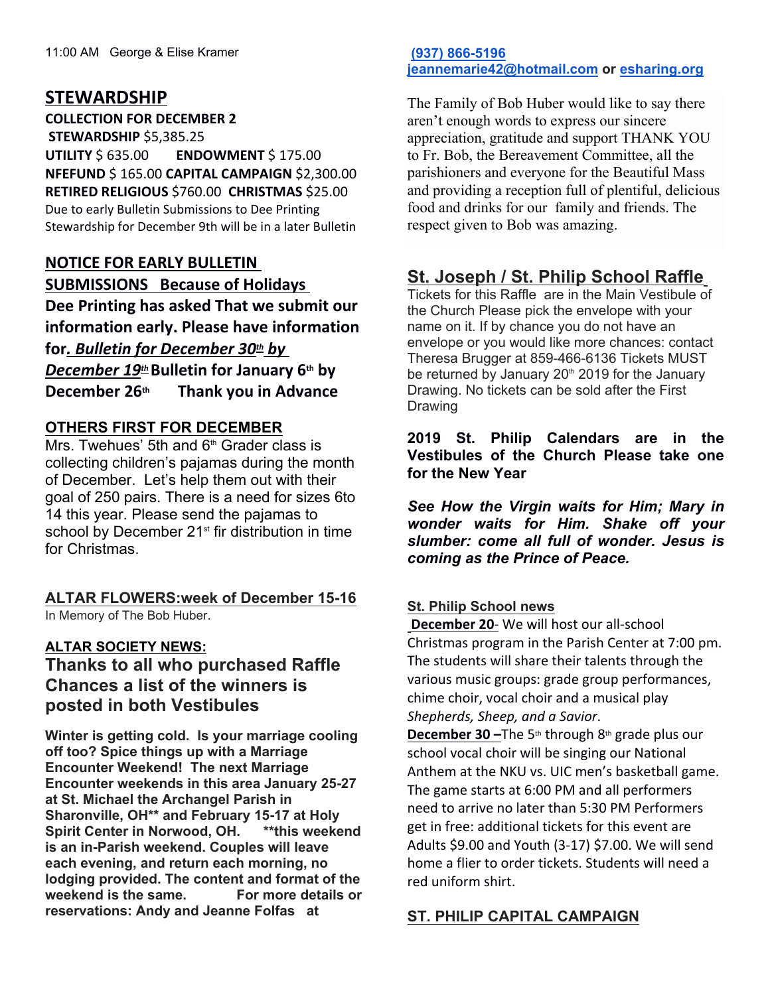# **STEWARDSHIP**

**COLLECTION FOR DECEMBER 2 STEWARDSHIP** \$5,385.25

**UTILITY** \$ 635.00 **ENDOWMENT** \$ 175.00 **NFEFUND** \$ 165.00 **CAPITAL CAMPAIGN** \$2,300.00 **RETIRED RELIGIOUS** \$760.00 **CHRISTMAS** \$25.00 Due to early Bulletin Submissions to Dee Printing Stewardship for December 9th will be in a later Bulletin

# **NOTICE FOR EARLY BULLETIN SUBMISSIONS Because of Holidays Dee Printing has asked That we submit our information early. Please have information**

**for***. Bulletin for December 30th by December 19th***Bulletin for January 6th by December 26th Thank you in Advance**

### **OTHERS FIRST FOR DECEMBER**

Mrs. Twehues' 5th and  $6<sup>th</sup>$  Grader class is collecting children's pajamas during the month of December. Let's help them out with their goal of 250 pairs. There is a need for sizes 6to 14 this year. Please send the pajamas to school by December 21<sup>st</sup> fir distribution in time for Christmas.

#### **ALTAR FLOWERS:week of December 15-16** In Memory of The Bob Huber.

### **ALTAR SOCIETY NEWS:**

# **Thanks to all who purchased Raffle Chances a list of the winners is posted in both Vestibules**

**Winter is getting cold. Is your marriage cooling off too? Spice things up with a Marriage Encounter Weekend! The next Marriage Encounter weekends in this area January 25-27 at St. Michael the Archangel Parish in Sharonville, OH\*\* and February 15-17 at Holy Spirit Center in Norwood, OH. \*\*this weekend is an in-Parish weekend. Couples will leave each evening, and return each morning, no lodging provided. The content and format of the weekend is the same. For more details or reservations: Andy and Jeanne Folfas at** 

#### **[\(937\) 866-5196](tel:(937)%20866-5196) [jeannemarie42@hotmail.com](mailto:jeannemarie42@hotmail.com) or [esharing.org](http://ww.esharing.org/)**

The Family of Bob Huber would like to say there aren't enough words to express our sincere appreciation, gratitude and support THANK YOU to Fr. Bob, the Bereavement Committee, all the parishioners and everyone for the Beautiful Mass and providing a reception full of plentiful, delicious food and drinks for our family and friends. The respect given to Bob was amazing.

# **St. Joseph / St. Philip School Raffle**

Tickets for this Raffle are in the Main Vestibule of the Church Please pick the envelope with your name on it. If by chance you do not have an envelope or you would like more chances: contact Theresa Brugger at 859-466-6136 Tickets MUST be returned by January  $20<sup>th</sup>$  2019 for the January Drawing. No tickets can be sold after the First Drawing

**2019 St. Philip Calendars are in the Vestibules of the Church Please take one for the New Year** 

*See How the Virgin waits for Him; Mary in wonder waits for Him. Shake off your slumber: come all full of wonder. Jesus is coming as the Prince of Peace.* 

### **St. Philip School news**

**December 20**- We will host our all-school Christmas program in the Parish Center at 7:00 pm. The students will share their talents through the various music groups: grade group performances, chime choir, vocal choir and a musical play *Shepherds, Sheep, and a Savior*.

**December 30 –**The 5<sup>th</sup> through 8<sup>th</sup> grade plus our school vocal choir will be singing our National Anthem at the NKU vs. UIC men's basketball game. The game starts at 6:00 PM and all performers need to arrive no later than 5:30 PM Performers get in free: additional tickets for this event are Adults \$9.00 and Youth (3-17) \$7.00. We will send home a flier to order tickets. Students will need a red uniform shirt.

## **ST. PHILIP CAPITAL CAMPAIGN**